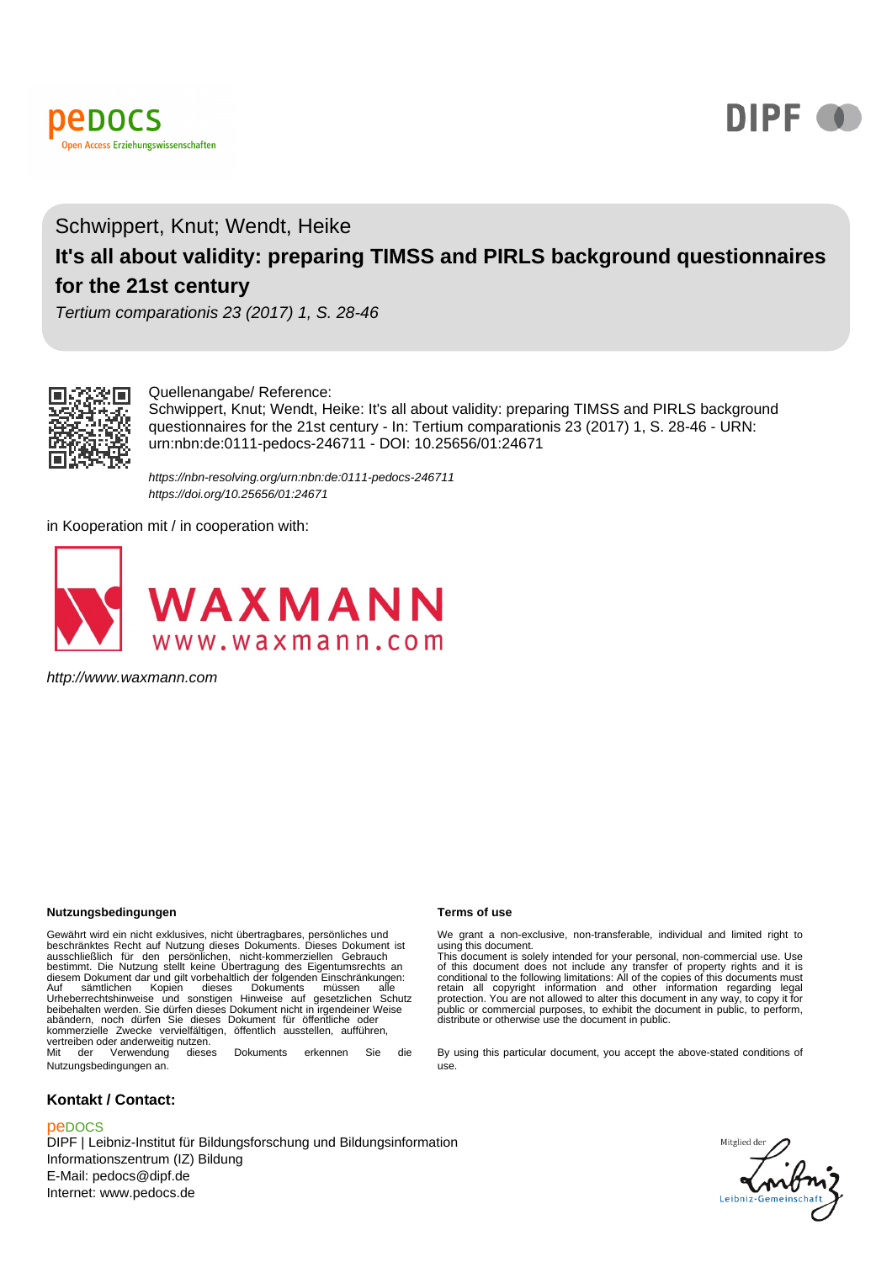



# Schwippert, Knut; Wendt, Heike **It's all about validity: preparing TIMSS and PIRLS background questionnaires for the 21st century**

Tertium comparationis 23 (2017) 1, S. 28-46



#### Quellenangabe/ Reference:

Schwippert, Knut; Wendt, Heike: It's all about validity: preparing TIMSS and PIRLS background questionnaires for the 21st century - In: Tertium comparationis 23 (2017) 1, S. 28-46 - URN: urn:nbn:de:0111-pedocs-246711 - DOI: 10.25656/01:24671

https://nbn-resolving.org/urn:nbn:de:0111-pedocs-246711 https://doi.org/10.25656/01:24671

in Kooperation mit / in cooperation with:



http://www.waxmann.com

#### **Nutzungsbedingungen Terms of use**

Gewährt wird ein nicht exklusives, nicht übertragbares, persönliches und beschränktes Recht auf Mutzung dieses Dokuments. Dieses Dokument ist<br>ausschließlich für den persönlichen, nicht-kommerziellen Gebrauch<br>diesem Dokument dar und gilt verheblattich der folgenden Einschränktungen:<br>diesem Dokum kommerzielle Zwecke vervielfältigen, öffentlich ausstellen, aufführen, vertreiben oder anderweitig nutzen.<br>Mit der Verwendung diese dieses Dokuments erkennen Sie die

Nutzungsbedingungen an.

#### **Kontakt / Contact:**

#### peDOCS

DIPF | Leibniz-Institut für Bildungsforschung und Bildungsinformation Informationszentrum (IZ) Bildung E-Mail: pedocs@dipf.de Internet: www.pedocs.de

We grant a non-exclusive, non-transferable, individual and limited right to using this document.

This document is solely intended for your personal, non-commercial use. Use<br>of this document does not include any transfer of property rights and it is<br>conditional to the following limitations: All of the copies of this do

By using this particular document, you accept the above-stated conditions of use.

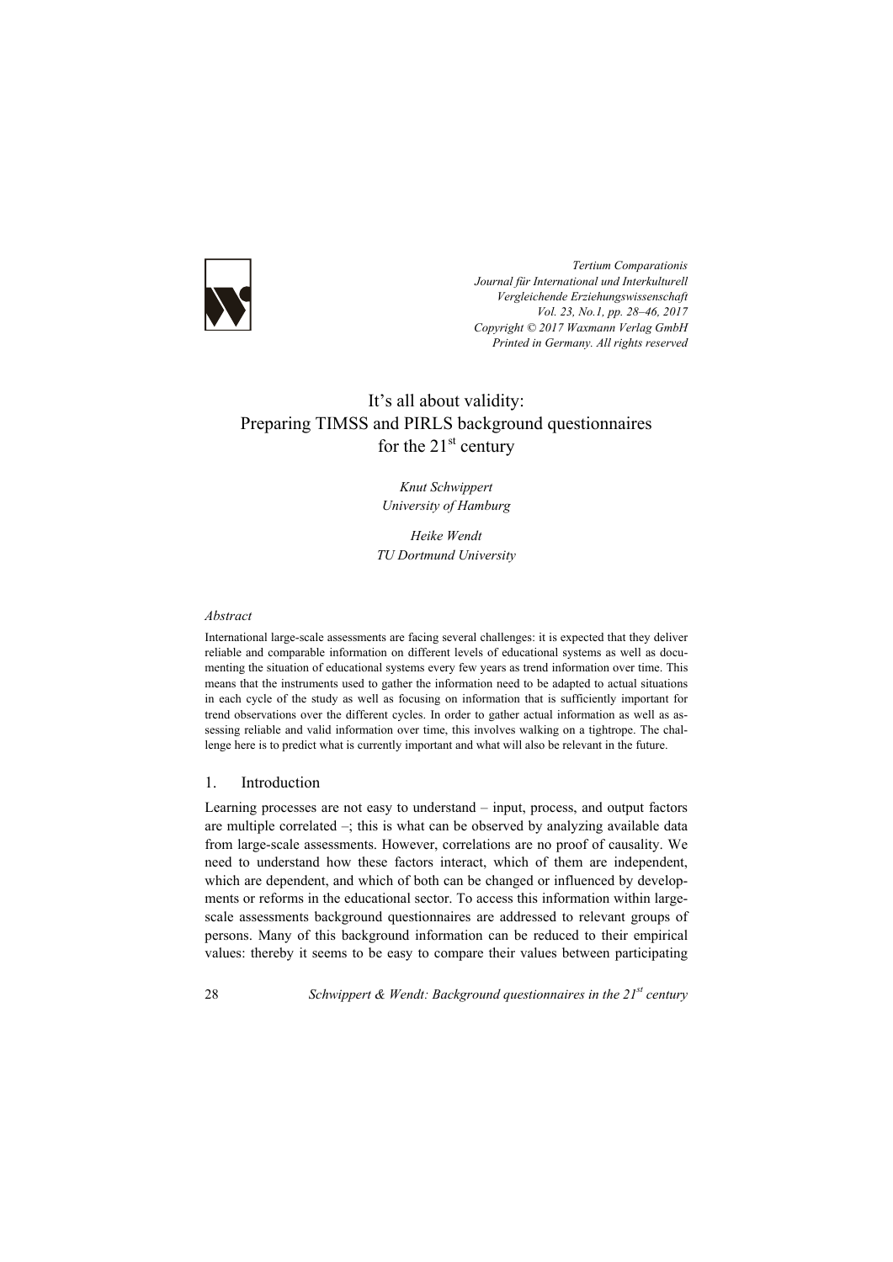

*Tertium Comparationis Journal für International und Interkulturell Vergleichende Erziehungswissenschaft Vol. 23, No.1, pp. 28–46, 2017 Copyright © 2017 Waxmann Verlag GmbH Printed in Germany. All rights reserved*

# It's all about validity: Preparing TIMSS and PIRLS background questionnaires for the  $21<sup>st</sup>$  century

*Knut Schwippert University of Hamburg* 

*Heike Wendt TU Dortmund University* 

#### *Abstract*

International large-scale assessments are facing several challenges: it is expected that they deliver reliable and comparable information on different levels of educational systems as well as documenting the situation of educational systems every few years as trend information over time. This means that the instruments used to gather the information need to be adapted to actual situations in each cycle of the study as well as focusing on information that is sufficiently important for trend observations over the different cycles. In order to gather actual information as well as assessing reliable and valid information over time, this involves walking on a tightrope. The challenge here is to predict what is currently important and what will also be relevant in the future.

#### 1. Introduction

Learning processes are not easy to understand – input, process, and output factors are multiple correlated  $-$ ; this is what can be observed by analyzing available data from large-scale assessments. However, correlations are no proof of causality. We need to understand how these factors interact, which of them are independent, which are dependent, and which of both can be changed or influenced by developments or reforms in the educational sector. To access this information within largescale assessments background questionnaires are addressed to relevant groups of persons. Many of this background information can be reduced to their empirical values: thereby it seems to be easy to compare their values between participating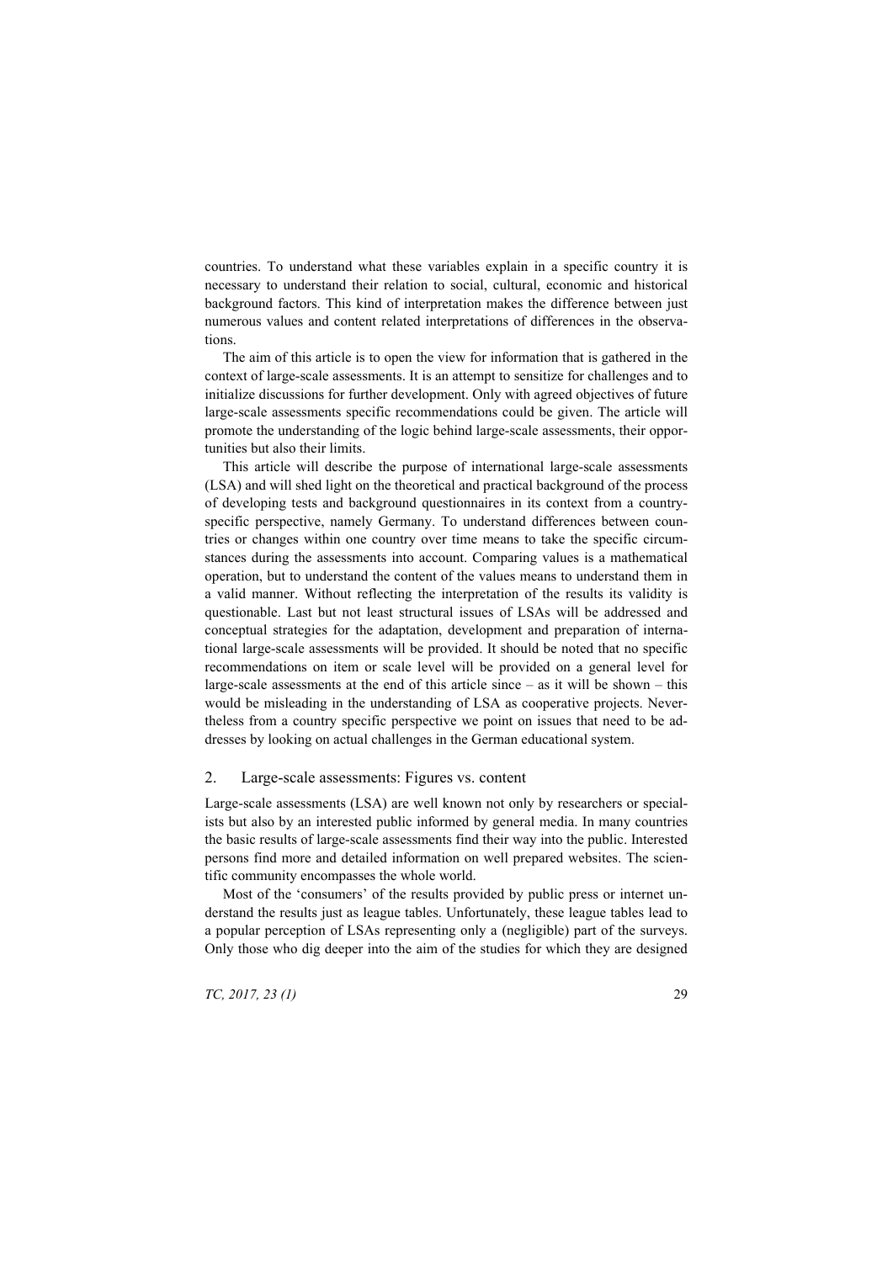countries. To understand what these variables explain in a specific country it is necessary to understand their relation to social, cultural, economic and historical background factors. This kind of interpretation makes the difference between just numerous values and content related interpretations of differences in the observations.

The aim of this article is to open the view for information that is gathered in the context of large-scale assessments. It is an attempt to sensitize for challenges and to initialize discussions for further development. Only with agreed objectives of future large-scale assessments specific recommendations could be given. The article will promote the understanding of the logic behind large-scale assessments, their opportunities but also their limits.

This article will describe the purpose of international large-scale assessments (LSA) and will shed light on the theoretical and practical background of the process of developing tests and background questionnaires in its context from a countryspecific perspective, namely Germany. To understand differences between countries or changes within one country over time means to take the specific circumstances during the assessments into account. Comparing values is a mathematical operation, but to understand the content of the values means to understand them in a valid manner. Without reflecting the interpretation of the results its validity is questionable. Last but not least structural issues of LSAs will be addressed and conceptual strategies for the adaptation, development and preparation of international large-scale assessments will be provided. It should be noted that no specific recommendations on item or scale level will be provided on a general level for large-scale assessments at the end of this article since  $-$  as it will be shown  $-$  this would be misleading in the understanding of LSA as cooperative projects. Nevertheless from a country specific perspective we point on issues that need to be addresses by looking on actual challenges in the German educational system.

#### 2. Large-scale assessments: Figures vs. content

Large-scale assessments (LSA) are well known not only by researchers or specialists but also by an interested public informed by general media. In many countries the basic results of large-scale assessments find their way into the public. Interested persons find more and detailed information on well prepared websites. The scientific community encompasses the whole world.

Most of the 'consumers' of the results provided by public press or internet understand the results just as league tables. Unfortunately, these league tables lead to a popular perception of LSAs representing only a (negligible) part of the surveys. Only those who dig deeper into the aim of the studies for which they are designed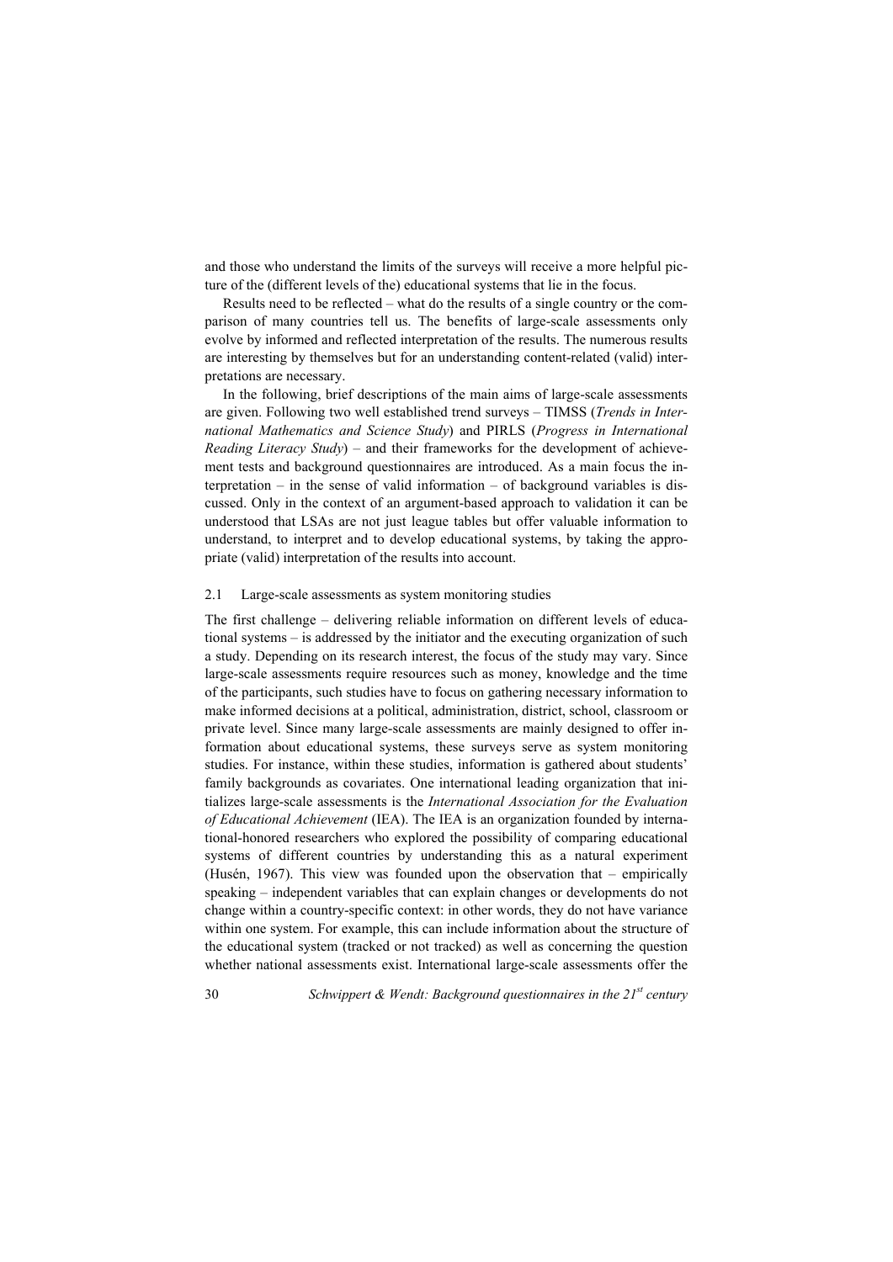and those who understand the limits of the surveys will receive a more helpful picture of the (different levels of the) educational systems that lie in the focus.

Results need to be reflected – what do the results of a single country or the comparison of many countries tell us. The benefits of large-scale assessments only evolve by informed and reflected interpretation of the results. The numerous results are interesting by themselves but for an understanding content-related (valid) interpretations are necessary.

In the following, brief descriptions of the main aims of large-scale assessments are given. Following two well established trend surveys – TIMSS (*Trends in International Mathematics and Science Study*) and PIRLS (*Progress in International Reading Literacy Study*) – and their frameworks for the development of achievement tests and background questionnaires are introduced. As a main focus the interpretation  $-$  in the sense of valid information  $-$  of background variables is discussed. Only in the context of an argument-based approach to validation it can be understood that LSAs are not just league tables but offer valuable information to understand, to interpret and to develop educational systems, by taking the appropriate (valid) interpretation of the results into account.

#### 2.1 Large-scale assessments as system monitoring studies

The first challenge – delivering reliable information on different levels of educational systems – is addressed by the initiator and the executing organization of such a study. Depending on its research interest, the focus of the study may vary. Since large-scale assessments require resources such as money, knowledge and the time of the participants, such studies have to focus on gathering necessary information to make informed decisions at a political, administration, district, school, classroom or private level. Since many large-scale assessments are mainly designed to offer information about educational systems, these surveys serve as system monitoring studies. For instance, within these studies, information is gathered about students' family backgrounds as covariates. One international leading organization that initializes large-scale assessments is the *International Association for the Evaluation of Educational Achievement* (IEA). The IEA is an organization founded by international-honored researchers who explored the possibility of comparing educational systems of different countries by understanding this as a natural experiment (Husén, 1967). This view was founded upon the observation that – empirically speaking – independent variables that can explain changes or developments do not change within a country-specific context: in other words, they do not have variance within one system. For example, this can include information about the structure of the educational system (tracked or not tracked) as well as concerning the question whether national assessments exist. International large-scale assessments offer the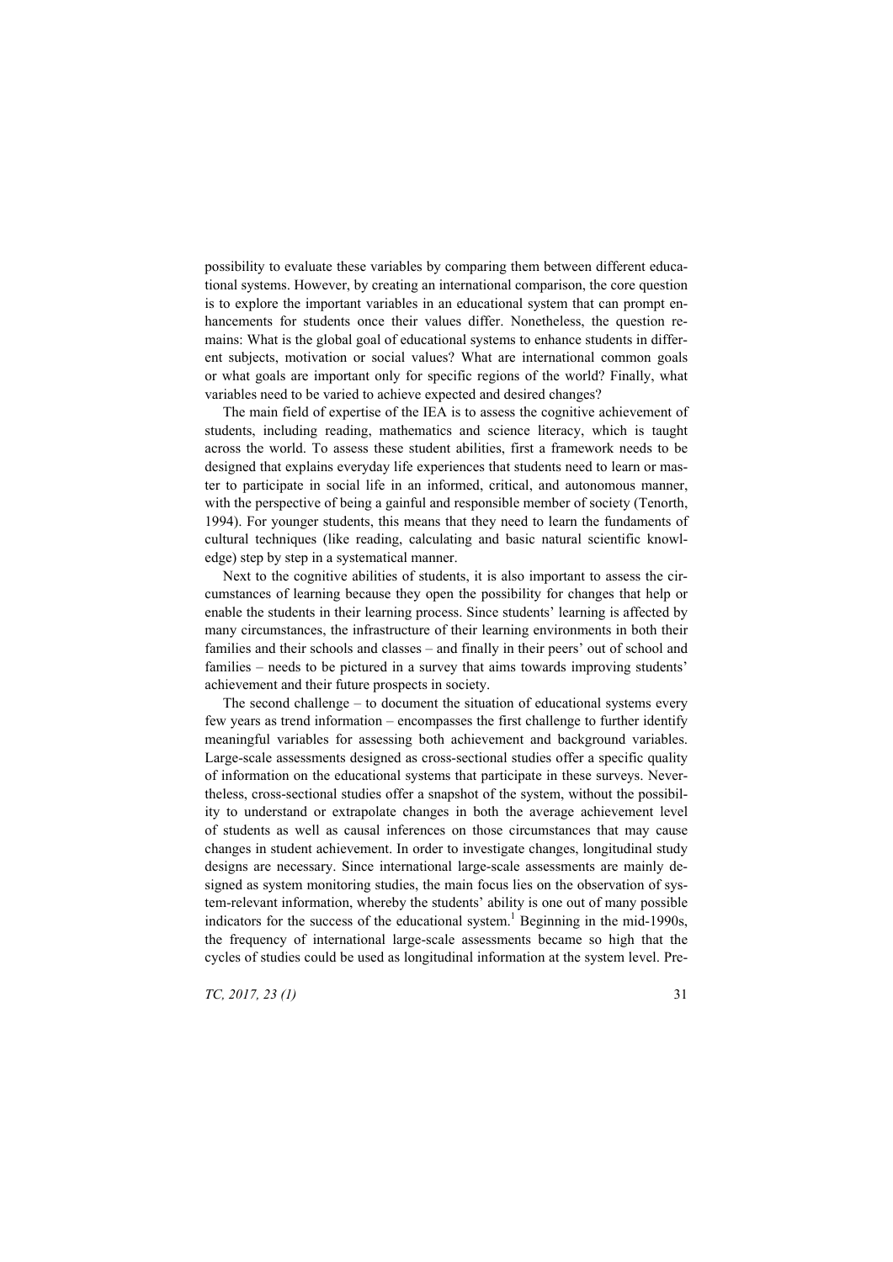possibility to evaluate these variables by comparing them between different educational systems. However, by creating an international comparison, the core question is to explore the important variables in an educational system that can prompt enhancements for students once their values differ. Nonetheless, the question remains: What is the global goal of educational systems to enhance students in different subjects, motivation or social values? What are international common goals or what goals are important only for specific regions of the world? Finally, what variables need to be varied to achieve expected and desired changes?

The main field of expertise of the IEA is to assess the cognitive achievement of students, including reading, mathematics and science literacy, which is taught across the world. To assess these student abilities, first a framework needs to be designed that explains everyday life experiences that students need to learn or master to participate in social life in an informed, critical, and autonomous manner, with the perspective of being a gainful and responsible member of society (Tenorth, 1994). For younger students, this means that they need to learn the fundaments of cultural techniques (like reading, calculating and basic natural scientific knowledge) step by step in a systematical manner.

Next to the cognitive abilities of students, it is also important to assess the circumstances of learning because they open the possibility for changes that help or enable the students in their learning process. Since students' learning is affected by many circumstances, the infrastructure of their learning environments in both their families and their schools and classes – and finally in their peers' out of school and families – needs to be pictured in a survey that aims towards improving students' achievement and their future prospects in society.

The second challenge – to document the situation of educational systems every few years as trend information – encompasses the first challenge to further identify meaningful variables for assessing both achievement and background variables. Large-scale assessments designed as cross-sectional studies offer a specific quality of information on the educational systems that participate in these surveys. Nevertheless, cross-sectional studies offer a snapshot of the system, without the possibility to understand or extrapolate changes in both the average achievement level of students as well as causal inferences on those circumstances that may cause changes in student achievement. In order to investigate changes, longitudinal study designs are necessary. Since international large-scale assessments are mainly designed as system monitoring studies, the main focus lies on the observation of system-relevant information, whereby the students' ability is one out of many possible indicators for the success of the educational system.<sup>1</sup> Beginning in the mid-1990s, the frequency of international large-scale assessments became so high that the cycles of studies could be used as longitudinal information at the system level. Pre-

*TC, 2017, 23 (1)* 31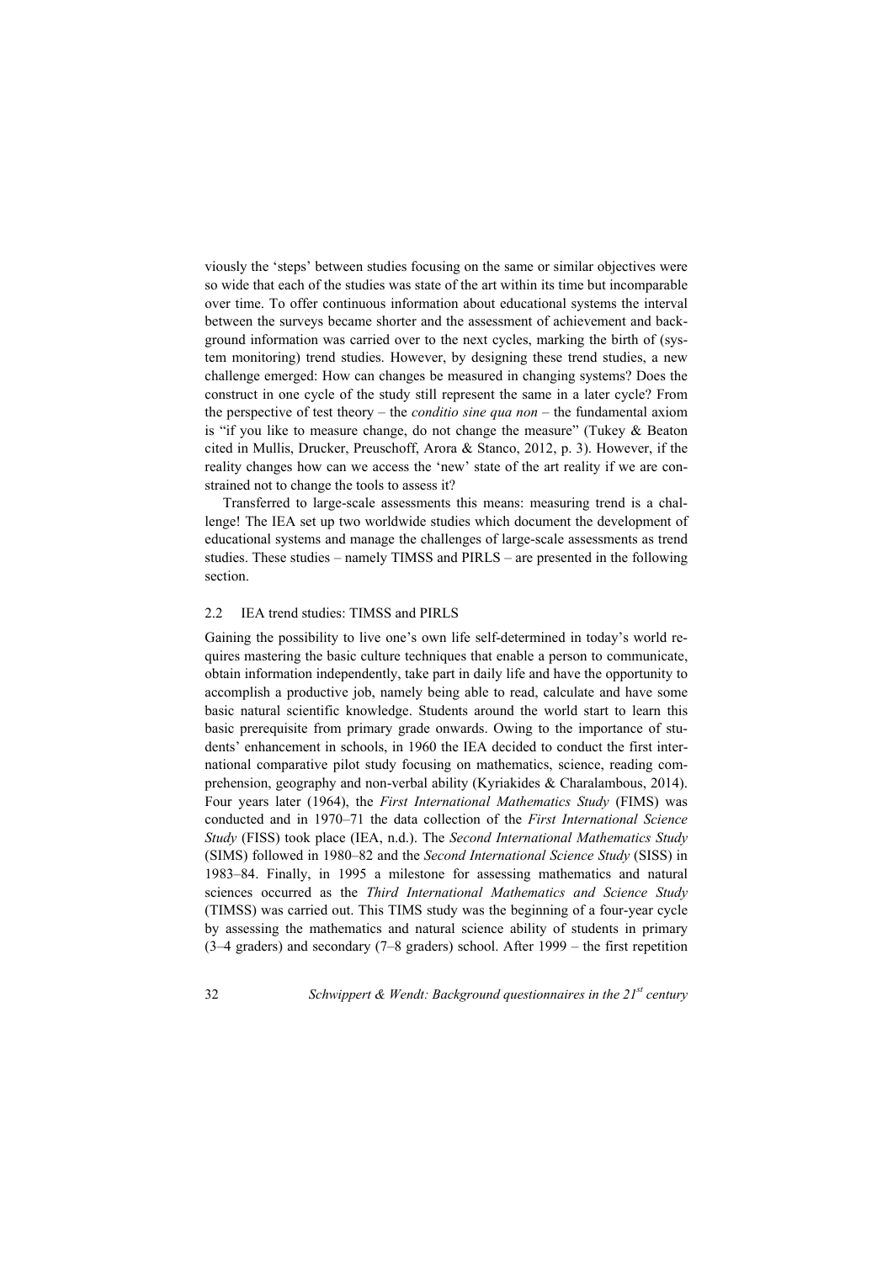viously the 'steps' between studies focusing on the same or similar objectives were so wide that each of the studies was state of the art within its time but incomparable over time. To offer continuous information about educational systems the interval between the surveys became shorter and the assessment of achievement and background information was carried over to the next cycles, marking the birth of (system monitoring) trend studies. However, by designing these trend studies, a new challenge emerged: How can changes be measured in changing systems? Does the construct in one cycle of the study still represent the same in a later cycle? From the perspective of test theory – the *conditio sine qua non* – the fundamental axiom is "if you like to measure change, do not change the measure" (Tukey & Beaton cited in Mullis, Drucker, Preuschoff, Arora & Stanco, 2012, p. 3). However, if the reality changes how can we access the 'new' state of the art reality if we are constrained not to change the tools to assess it?

Transferred to large-scale assessments this means: measuring trend is a challenge! The IEA set up two worldwide studies which document the development of educational systems and manage the challenges of large-scale assessments as trend studies. These studies – namely TIMSS and PIRLS – are presented in the following section.

#### 2.2 IEA trend studies: TIMSS and PIRLS

Gaining the possibility to live one's own life self-determined in today's world requires mastering the basic culture techniques that enable a person to communicate, obtain information independently, take part in daily life and have the opportunity to accomplish a productive job, namely being able to read, calculate and have some basic natural scientific knowledge. Students around the world start to learn this basic prerequisite from primary grade onwards. Owing to the importance of students' enhancement in schools, in 1960 the IEA decided to conduct the first international comparative pilot study focusing on mathematics, science, reading comprehension, geography and non-verbal ability (Kyriakides & Charalambous, 2014). Four years later (1964), the *First International Mathematics Study* (FIMS) was conducted and in 1970–71 the data collection of the *First International Science Study* (FISS) took place (IEA, n.d.). The *Second International Mathematics Study* (SIMS) followed in 1980–82 and the *Second International Science Study* (SISS) in 1983–84. Finally, in 1995 a milestone for assessing mathematics and natural sciences occurred as the *Third International Mathematics and Science Study* (TIMSS) was carried out. This TIMS study was the beginning of a four-year cycle by assessing the mathematics and natural science ability of students in primary (3–4 graders) and secondary (7–8 graders) school. After 1999 – the first repetition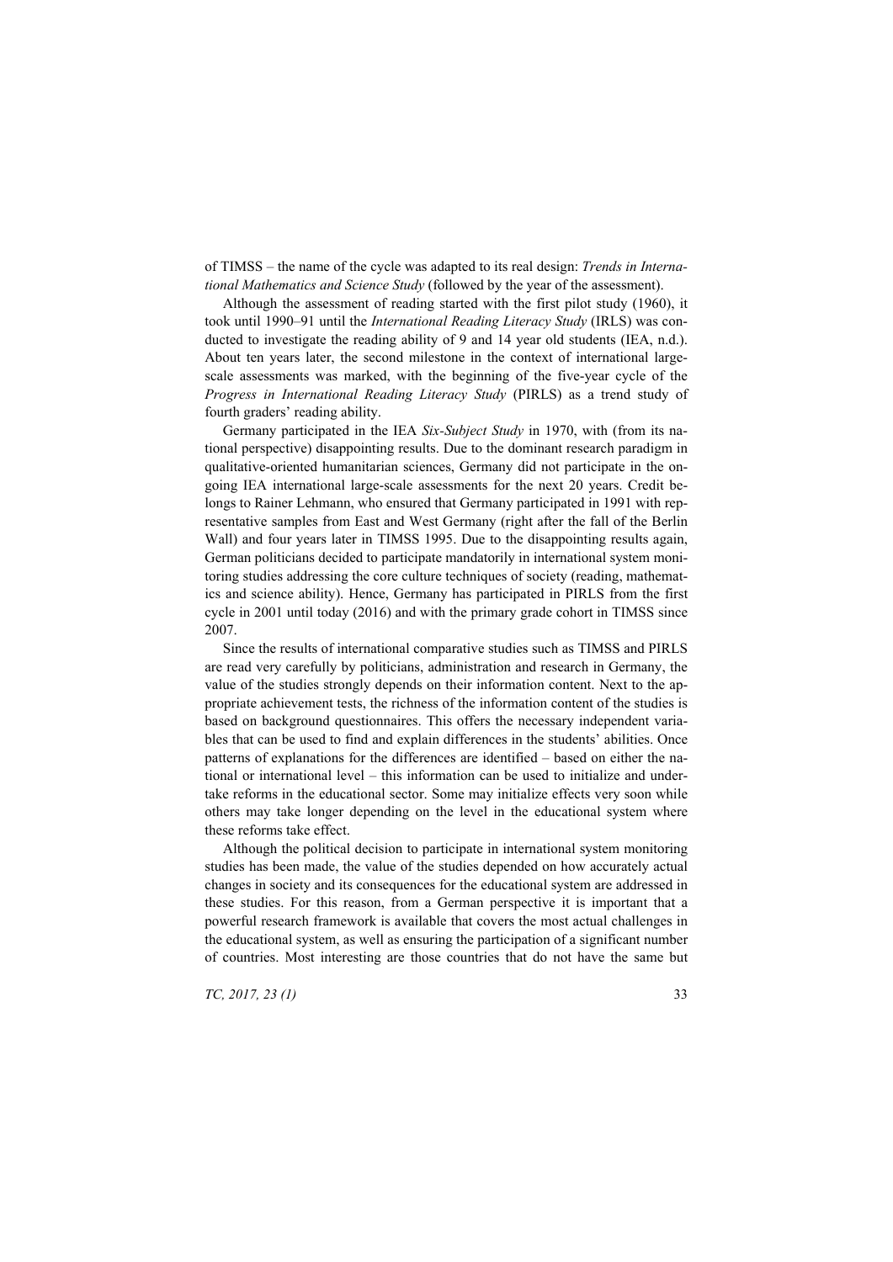of TIMSS – the name of the cycle was adapted to its real design: *Trends in International Mathematics and Science Study* (followed by the year of the assessment).

Although the assessment of reading started with the first pilot study (1960), it took until 1990–91 until the *International Reading Literacy Study* (IRLS) was conducted to investigate the reading ability of 9 and 14 year old students (IEA, n.d.). About ten years later, the second milestone in the context of international largescale assessments was marked, with the beginning of the five-year cycle of the *Progress in International Reading Literacy Study* (PIRLS) as a trend study of fourth graders' reading ability.

Germany participated in the IEA *Six-Subject Study* in 1970, with (from its national perspective) disappointing results. Due to the dominant research paradigm in qualitative-oriented humanitarian sciences, Germany did not participate in the ongoing IEA international large-scale assessments for the next 20 years. Credit belongs to Rainer Lehmann, who ensured that Germany participated in 1991 with representative samples from East and West Germany (right after the fall of the Berlin Wall) and four years later in TIMSS 1995. Due to the disappointing results again, German politicians decided to participate mandatorily in international system monitoring studies addressing the core culture techniques of society (reading, mathematics and science ability). Hence, Germany has participated in PIRLS from the first cycle in 2001 until today (2016) and with the primary grade cohort in TIMSS since 2007.

Since the results of international comparative studies such as TIMSS and PIRLS are read very carefully by politicians, administration and research in Germany, the value of the studies strongly depends on their information content. Next to the appropriate achievement tests, the richness of the information content of the studies is based on background questionnaires. This offers the necessary independent variables that can be used to find and explain differences in the students' abilities. Once patterns of explanations for the differences are identified – based on either the national or international level – this information can be used to initialize and undertake reforms in the educational sector. Some may initialize effects very soon while others may take longer depending on the level in the educational system where these reforms take effect.

Although the political decision to participate in international system monitoring studies has been made, the value of the studies depended on how accurately actual changes in society and its consequences for the educational system are addressed in these studies. For this reason, from a German perspective it is important that a powerful research framework is available that covers the most actual challenges in the educational system, as well as ensuring the participation of a significant number of countries. Most interesting are those countries that do not have the same but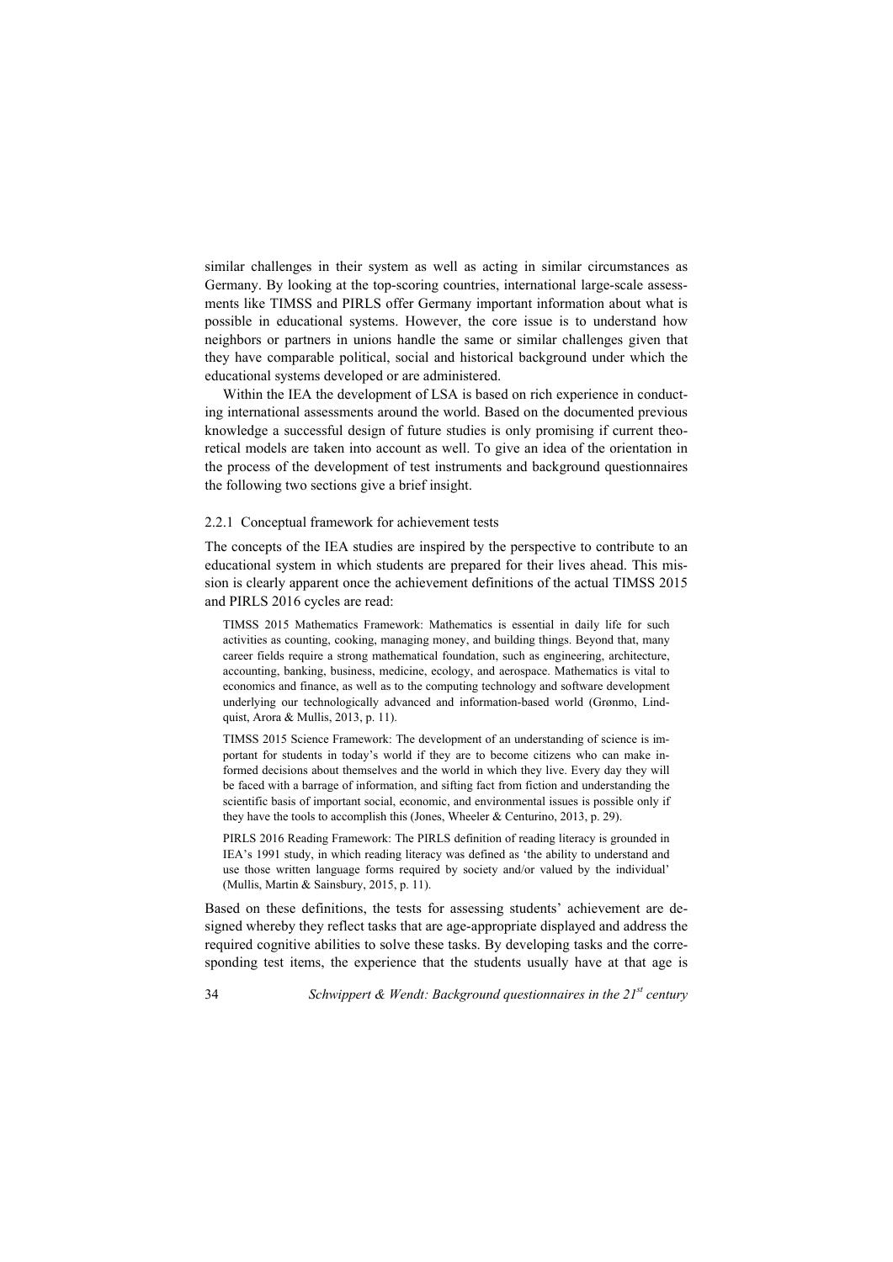similar challenges in their system as well as acting in similar circumstances as Germany. By looking at the top-scoring countries, international large-scale assessments like TIMSS and PIRLS offer Germany important information about what is possible in educational systems. However, the core issue is to understand how neighbors or partners in unions handle the same or similar challenges given that they have comparable political, social and historical background under which the educational systems developed or are administered.

Within the IEA the development of LSA is based on rich experience in conducting international assessments around the world. Based on the documented previous knowledge a successful design of future studies is only promising if current theoretical models are taken into account as well. To give an idea of the orientation in the process of the development of test instruments and background questionnaires the following two sections give a brief insight.

#### 2.2.1 Conceptual framework for achievement tests

The concepts of the IEA studies are inspired by the perspective to contribute to an educational system in which students are prepared for their lives ahead. This mission is clearly apparent once the achievement definitions of the actual TIMSS 2015 and PIRLS 2016 cycles are read:

TIMSS 2015 Mathematics Framework: Mathematics is essential in daily life for such activities as counting, cooking, managing money, and building things. Beyond that, many career fields require a strong mathematical foundation, such as engineering, architecture, accounting, banking, business, medicine, ecology, and aerospace. Mathematics is vital to economics and finance, as well as to the computing technology and software development underlying our technologically advanced and information-based world (Grønmo, Lindquist, Arora & Mullis, 2013, p. 11).

TIMSS 2015 Science Framework: The development of an understanding of science is important for students in today's world if they are to become citizens who can make informed decisions about themselves and the world in which they live. Every day they will be faced with a barrage of information, and sifting fact from fiction and understanding the scientific basis of important social, economic, and environmental issues is possible only if they have the tools to accomplish this (Jones, Wheeler & Centurino, 2013, p. 29).

PIRLS 2016 Reading Framework: The PIRLS definition of reading literacy is grounded in IEA's 1991 study, in which reading literacy was defined as 'the ability to understand and use those written language forms required by society and/or valued by the individual' (Mullis, Martin & Sainsbury, 2015, p. 11).

Based on these definitions, the tests for assessing students' achievement are designed whereby they reflect tasks that are age-appropriate displayed and address the required cognitive abilities to solve these tasks. By developing tasks and the corresponding test items, the experience that the students usually have at that age is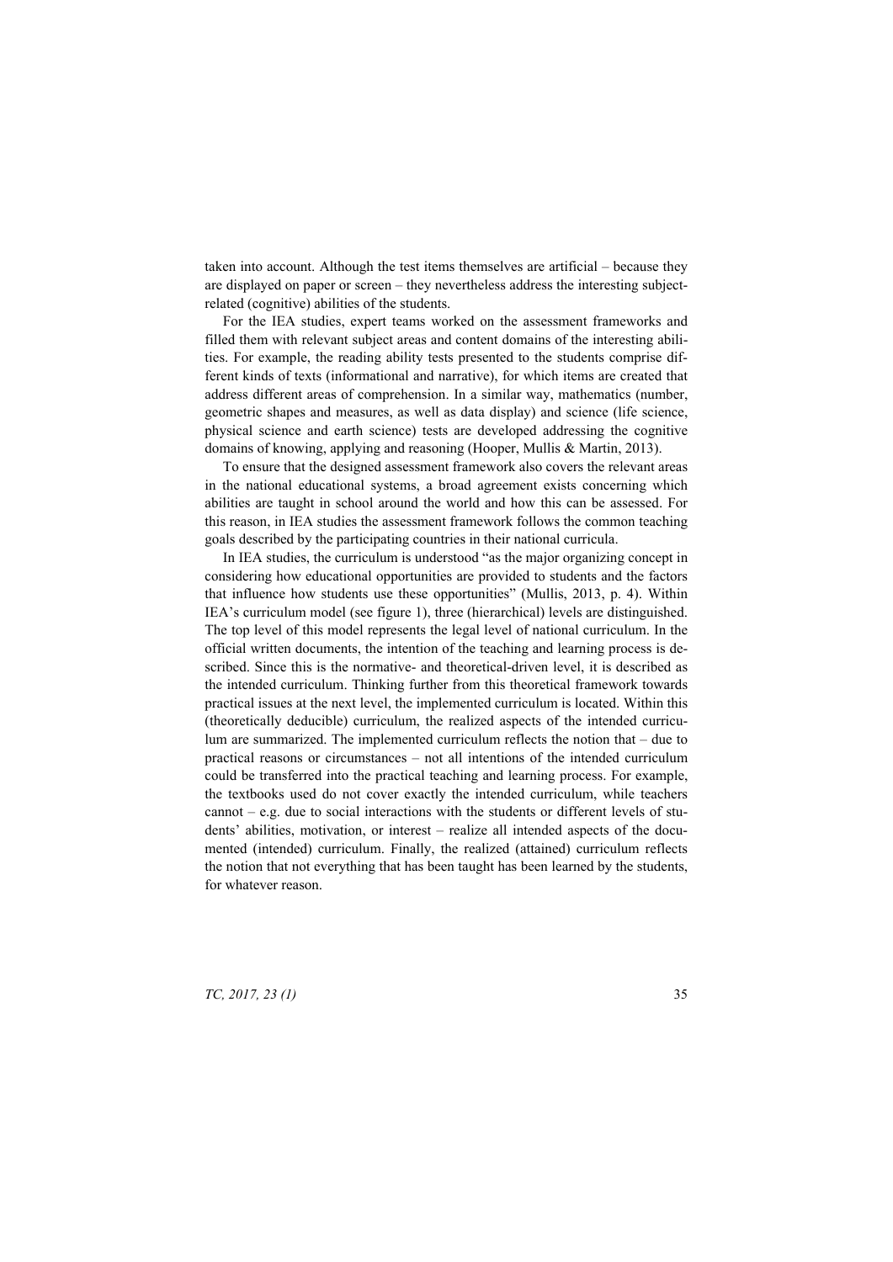taken into account. Although the test items themselves are artificial – because they are displayed on paper or screen – they nevertheless address the interesting subjectrelated (cognitive) abilities of the students.

For the IEA studies, expert teams worked on the assessment frameworks and filled them with relevant subject areas and content domains of the interesting abilities. For example, the reading ability tests presented to the students comprise different kinds of texts (informational and narrative), for which items are created that address different areas of comprehension. In a similar way, mathematics (number, geometric shapes and measures, as well as data display) and science (life science, physical science and earth science) tests are developed addressing the cognitive domains of knowing, applying and reasoning (Hooper, Mullis & Martin, 2013).

To ensure that the designed assessment framework also covers the relevant areas in the national educational systems, a broad agreement exists concerning which abilities are taught in school around the world and how this can be assessed. For this reason, in IEA studies the assessment framework follows the common teaching goals described by the participating countries in their national curricula.

In IEA studies, the curriculum is understood "as the major organizing concept in considering how educational opportunities are provided to students and the factors that influence how students use these opportunities" (Mullis, 2013, p. 4). Within IEA's curriculum model (see figure 1), three (hierarchical) levels are distinguished. The top level of this model represents the legal level of national curriculum. In the official written documents, the intention of the teaching and learning process is described. Since this is the normative- and theoretical-driven level, it is described as the intended curriculum. Thinking further from this theoretical framework towards practical issues at the next level, the implemented curriculum is located. Within this (theoretically deducible) curriculum, the realized aspects of the intended curriculum are summarized. The implemented curriculum reflects the notion that – due to practical reasons or circumstances – not all intentions of the intended curriculum could be transferred into the practical teaching and learning process. For example, the textbooks used do not cover exactly the intended curriculum, while teachers cannot – e.g. due to social interactions with the students or different levels of students' abilities, motivation, or interest – realize all intended aspects of the documented (intended) curriculum. Finally, the realized (attained) curriculum reflects the notion that not everything that has been taught has been learned by the students, for whatever reason.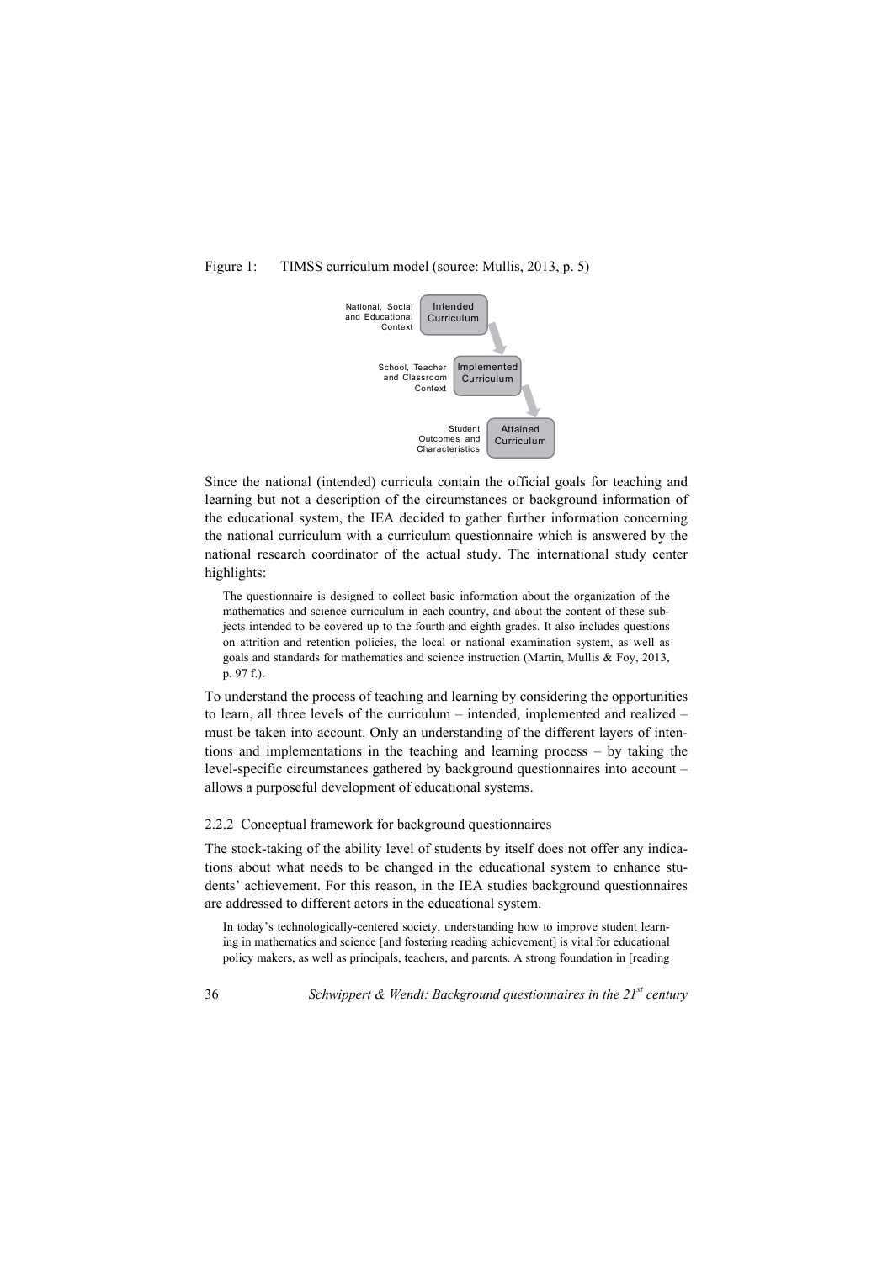# Figure 1: TIMSS curriculum model (source: Mullis, 2013, p. 5)



Since the national (intended) curricula contain the official goals for teaching and learning but not a description of the circumstances or background information of the educational system, the IEA decided to gather further information concerning the national curriculum with a curriculum questionnaire which is answered by the national research coordinator of the actual study. The international study center highlights:

The questionnaire is designed to collect basic information about the organization of the mathematics and science curriculum in each country, and about the content of these subjects intended to be covered up to the fourth and eighth grades. It also includes questions on attrition and retention policies, the local or national examination system, as well as goals and standards for mathematics and science instruction (Martin, Mullis & Foy, 2013, p. 97 f.).

To understand the process of teaching and learning by considering the opportunities to learn, all three levels of the curriculum – intended, implemented and realized – must be taken into account. Only an understanding of the different layers of intentions and implementations in the teaching and learning process – by taking the level-specific circumstances gathered by background questionnaires into account – allows a purposeful development of educational systems.

## 2.2.2 Conceptual framework for background questionnaires

The stock-taking of the ability level of students by itself does not offer any indications about what needs to be changed in the educational system to enhance students' achievement. For this reason, in the IEA studies background questionnaires are addressed to different actors in the educational system.

In today's technologically-centered society, understanding how to improve student learning in mathematics and science [and fostering reading achievement] is vital for educational policy makers, as well as principals, teachers, and parents. A strong foundation in [reading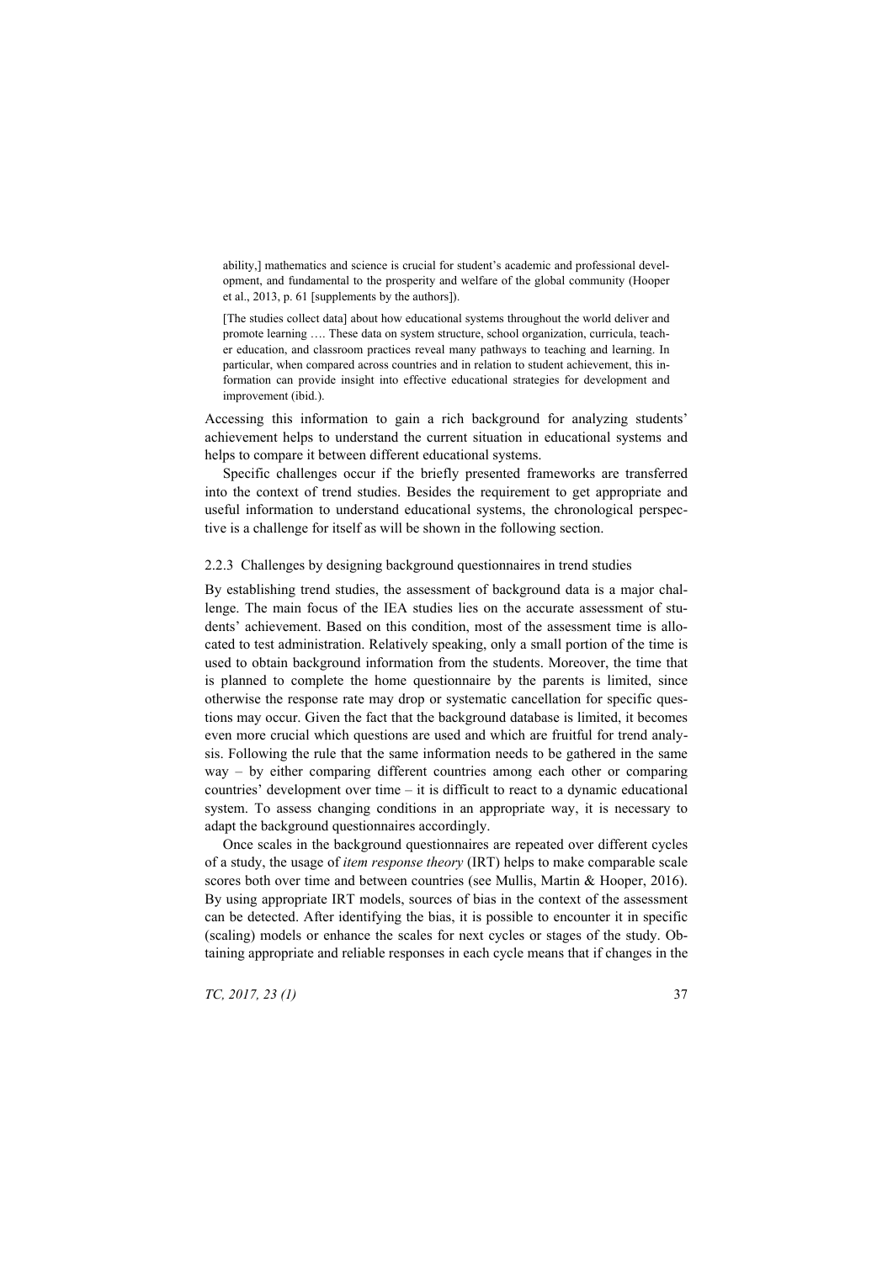ability,] mathematics and science is crucial for student's academic and professional development, and fundamental to the prosperity and welfare of the global community (Hooper et al., 2013, p. 61 [supplements by the authors]).

[The studies collect data] about how educational systems throughout the world deliver and promote learning …. These data on system structure, school organization, curricula, teacher education, and classroom practices reveal many pathways to teaching and learning. In particular, when compared across countries and in relation to student achievement, this information can provide insight into effective educational strategies for development and improvement (ibid.).

Accessing this information to gain a rich background for analyzing students' achievement helps to understand the current situation in educational systems and helps to compare it between different educational systems.

Specific challenges occur if the briefly presented frameworks are transferred into the context of trend studies. Besides the requirement to get appropriate and useful information to understand educational systems, the chronological perspective is a challenge for itself as will be shown in the following section.

#### 2.2.3 Challenges by designing background questionnaires in trend studies

By establishing trend studies, the assessment of background data is a major challenge. The main focus of the IEA studies lies on the accurate assessment of students' achievement. Based on this condition, most of the assessment time is allocated to test administration. Relatively speaking, only a small portion of the time is used to obtain background information from the students. Moreover, the time that is planned to complete the home questionnaire by the parents is limited, since otherwise the response rate may drop or systematic cancellation for specific questions may occur. Given the fact that the background database is limited, it becomes even more crucial which questions are used and which are fruitful for trend analysis. Following the rule that the same information needs to be gathered in the same way – by either comparing different countries among each other or comparing countries' development over time – it is difficult to react to a dynamic educational system. To assess changing conditions in an appropriate way, it is necessary to adapt the background questionnaires accordingly.

Once scales in the background questionnaires are repeated over different cycles of a study, the usage of *item response theory* (IRT) helps to make comparable scale scores both over time and between countries (see Mullis, Martin & Hooper, 2016). By using appropriate IRT models, sources of bias in the context of the assessment can be detected. After identifying the bias, it is possible to encounter it in specific (scaling) models or enhance the scales for next cycles or stages of the study. Obtaining appropriate and reliable responses in each cycle means that if changes in the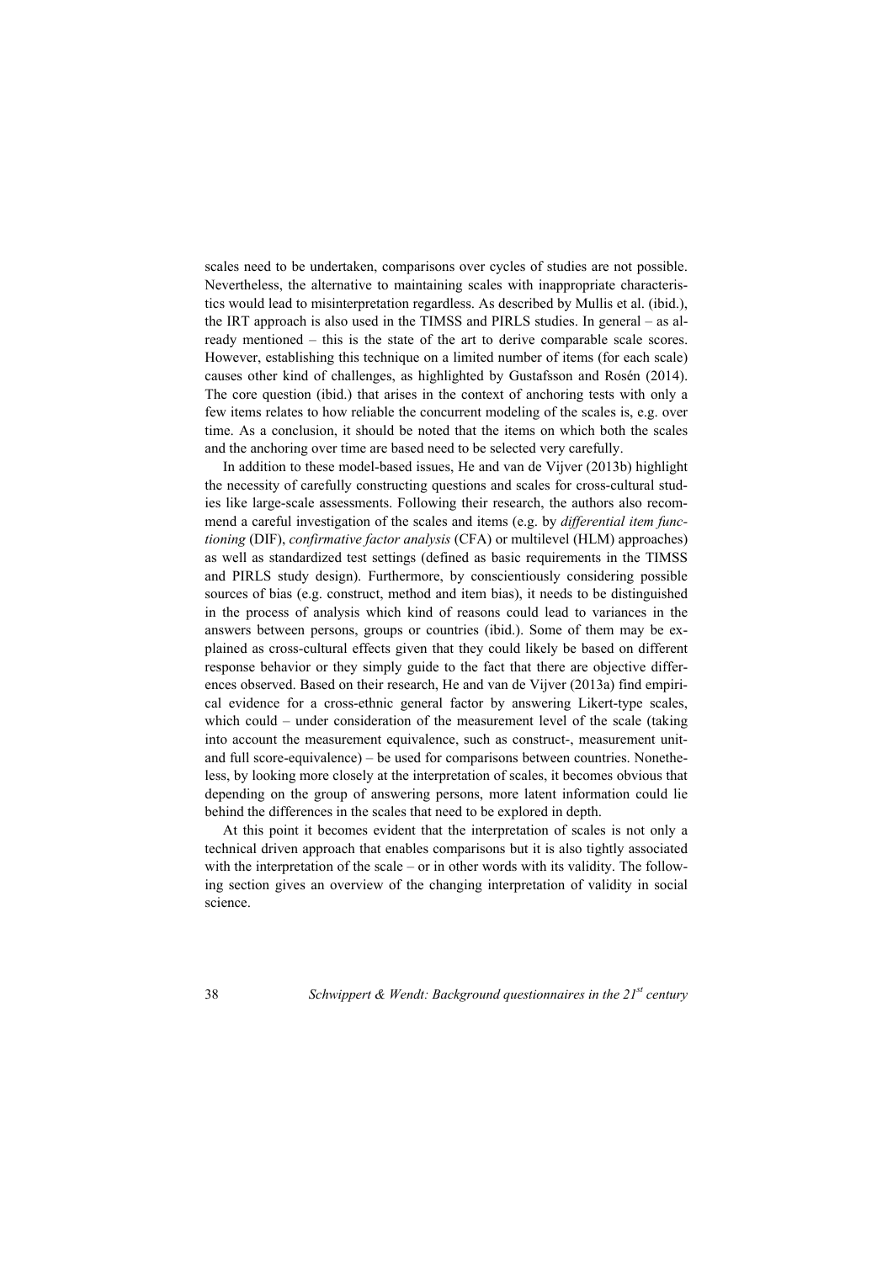scales need to be undertaken, comparisons over cycles of studies are not possible. Nevertheless, the alternative to maintaining scales with inappropriate characteristics would lead to misinterpretation regardless. As described by Mullis et al. (ibid.), the IRT approach is also used in the TIMSS and PIRLS studies. In general – as already mentioned – this is the state of the art to derive comparable scale scores. However, establishing this technique on a limited number of items (for each scale) causes other kind of challenges, as highlighted by Gustafsson and Rosén (2014). The core question (ibid.) that arises in the context of anchoring tests with only a few items relates to how reliable the concurrent modeling of the scales is, e.g. over time. As a conclusion, it should be noted that the items on which both the scales and the anchoring over time are based need to be selected very carefully.

In addition to these model-based issues, He and van de Vijver (2013b) highlight the necessity of carefully constructing questions and scales for cross-cultural studies like large-scale assessments. Following their research, the authors also recommend a careful investigation of the scales and items (e.g. by *differential item functioning* (DIF), *confirmative factor analysis* (CFA) or multilevel (HLM) approaches) as well as standardized test settings (defined as basic requirements in the TIMSS and PIRLS study design). Furthermore, by conscientiously considering possible sources of bias (e.g. construct, method and item bias), it needs to be distinguished in the process of analysis which kind of reasons could lead to variances in the answers between persons, groups or countries (ibid.). Some of them may be explained as cross-cultural effects given that they could likely be based on different response behavior or they simply guide to the fact that there are objective differences observed. Based on their research, He and van de Vijver (2013a) find empirical evidence for a cross-ethnic general factor by answering Likert-type scales, which could – under consideration of the measurement level of the scale (taking into account the measurement equivalence, such as construct-, measurement unitand full score-equivalence) – be used for comparisons between countries. Nonetheless, by looking more closely at the interpretation of scales, it becomes obvious that depending on the group of answering persons, more latent information could lie behind the differences in the scales that need to be explored in depth.

At this point it becomes evident that the interpretation of scales is not only a technical driven approach that enables comparisons but it is also tightly associated with the interpretation of the scale – or in other words with its validity. The following section gives an overview of the changing interpretation of validity in social science.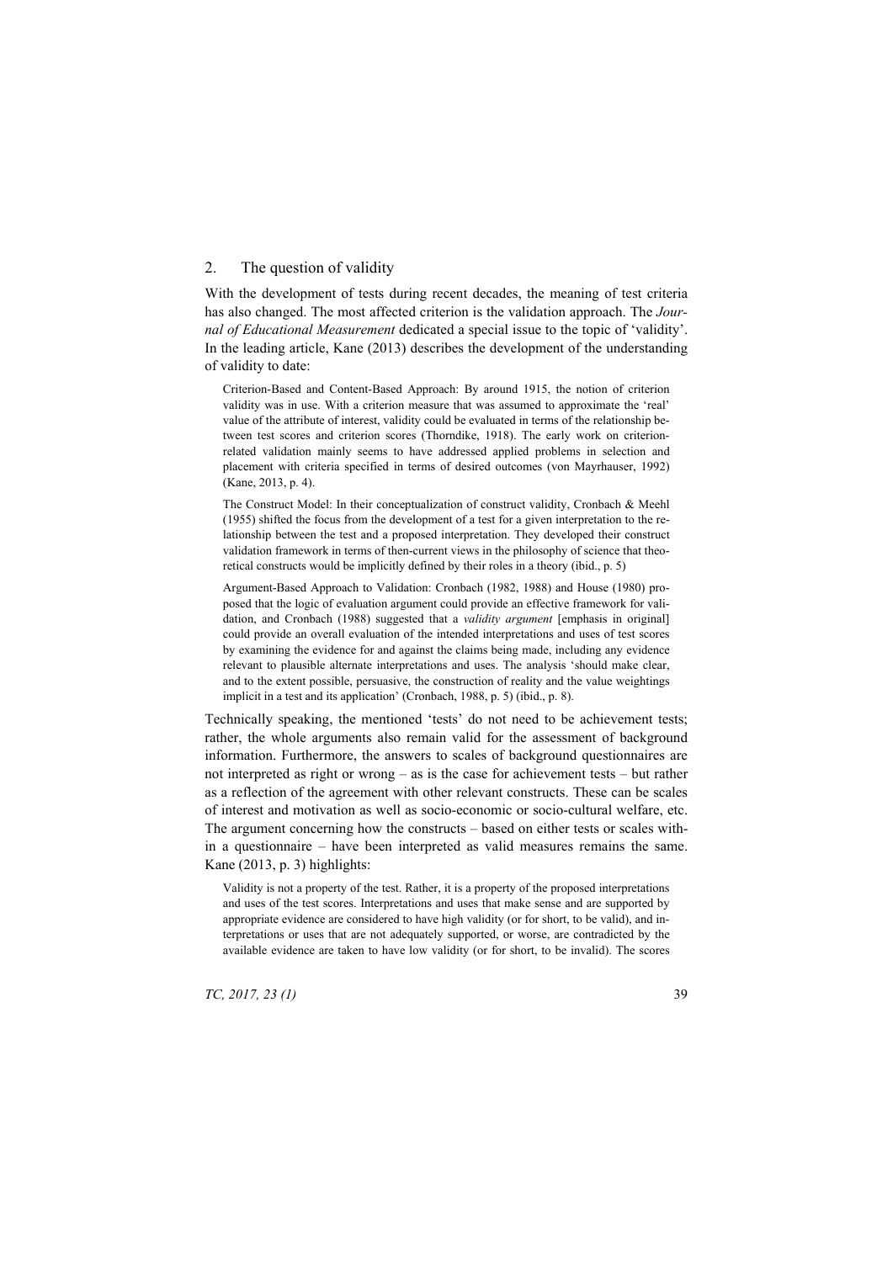# 2. The question of validity

With the development of tests during recent decades, the meaning of test criteria has also changed. The most affected criterion is the validation approach. The *Journal of Educational Measurement* dedicated a special issue to the topic of 'validity'. In the leading article, Kane (2013) describes the development of the understanding of validity to date:

Criterion-Based and Content-Based Approach: By around 1915, the notion of criterion validity was in use. With a criterion measure that was assumed to approximate the 'real' value of the attribute of interest, validity could be evaluated in terms of the relationship between test scores and criterion scores (Thorndike, 1918). The early work on criterionrelated validation mainly seems to have addressed applied problems in selection and placement with criteria specified in terms of desired outcomes (von Mayrhauser, 1992) (Kane, 2013, p. 4).

The Construct Model: In their conceptualization of construct validity, Cronbach & Meehl (1955) shifted the focus from the development of a test for a given interpretation to the relationship between the test and a proposed interpretation. They developed their construct validation framework in terms of then-current views in the philosophy of science that theoretical constructs would be implicitly defined by their roles in a theory (ibid., p. 5)

Argument-Based Approach to Validation: Cronbach (1982, 1988) and House (1980) proposed that the logic of evaluation argument could provide an effective framework for validation, and Cronbach (1988) suggested that a *validity argument* [emphasis in original] could provide an overall evaluation of the intended interpretations and uses of test scores by examining the evidence for and against the claims being made, including any evidence relevant to plausible alternate interpretations and uses. The analysis 'should make clear, and to the extent possible, persuasive, the construction of reality and the value weightings implicit in a test and its application' (Cronbach, 1988, p. 5) (ibid., p. 8).

Technically speaking, the mentioned 'tests' do not need to be achievement tests; rather, the whole arguments also remain valid for the assessment of background information. Furthermore, the answers to scales of background questionnaires are not interpreted as right or wrong – as is the case for achievement tests – but rather as a reflection of the agreement with other relevant constructs. These can be scales of interest and motivation as well as socio-economic or socio-cultural welfare, etc. The argument concerning how the constructs – based on either tests or scales within a questionnaire – have been interpreted as valid measures remains the same. Kane (2013, p. 3) highlights:

Validity is not a property of the test. Rather, it is a property of the proposed interpretations and uses of the test scores. Interpretations and uses that make sense and are supported by appropriate evidence are considered to have high validity (or for short, to be valid), and interpretations or uses that are not adequately supported, or worse, are contradicted by the available evidence are taken to have low validity (or for short, to be invalid). The scores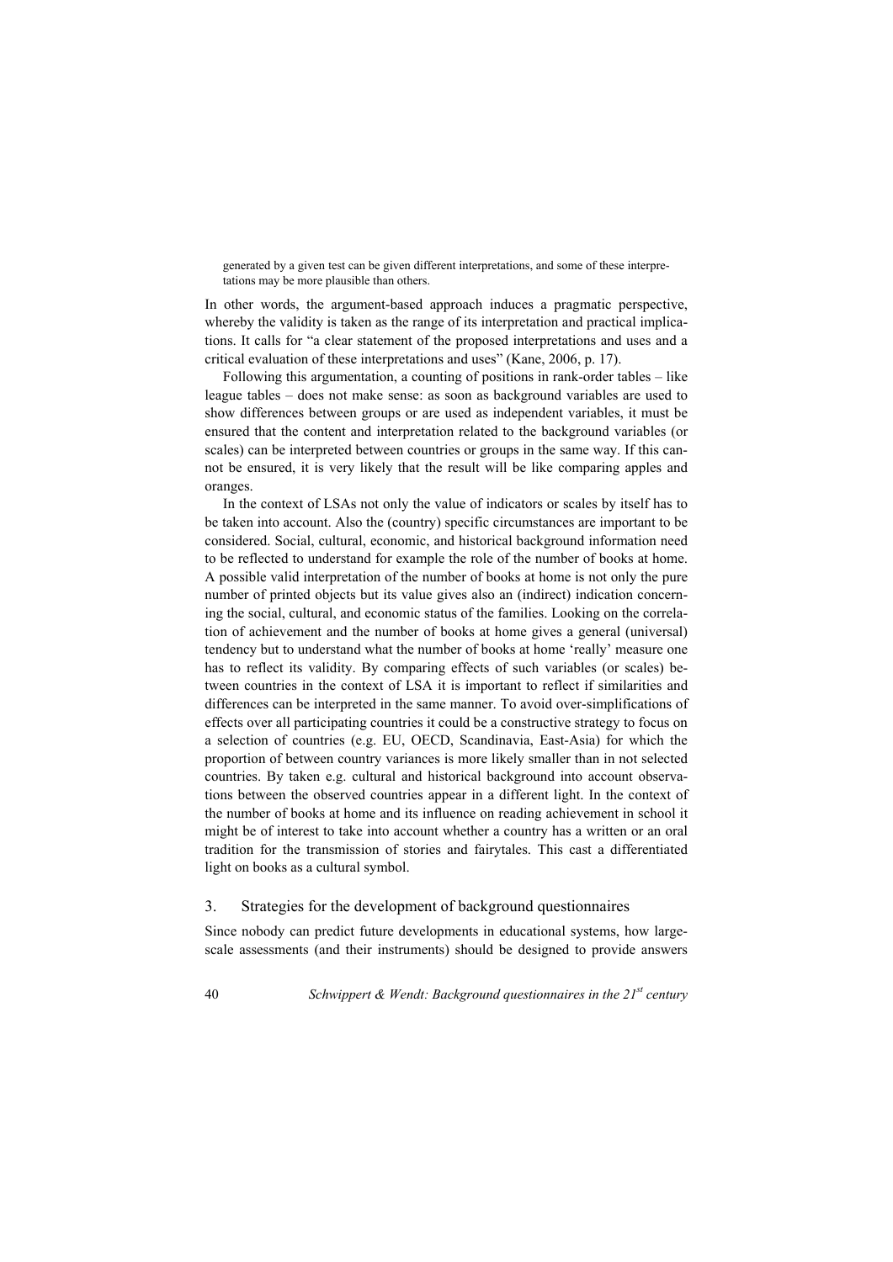generated by a given test can be given different interpretations, and some of these interpretations may be more plausible than others.

In other words, the argument-based approach induces a pragmatic perspective, whereby the validity is taken as the range of its interpretation and practical implications. It calls for "a clear statement of the proposed interpretations and uses and a critical evaluation of these interpretations and uses" (Kane, 2006, p. 17).

Following this argumentation, a counting of positions in rank-order tables – like league tables – does not make sense: as soon as background variables are used to show differences between groups or are used as independent variables, it must be ensured that the content and interpretation related to the background variables (or scales) can be interpreted between countries or groups in the same way. If this cannot be ensured, it is very likely that the result will be like comparing apples and oranges.

In the context of LSAs not only the value of indicators or scales by itself has to be taken into account. Also the (country) specific circumstances are important to be considered. Social, cultural, economic, and historical background information need to be reflected to understand for example the role of the number of books at home. A possible valid interpretation of the number of books at home is not only the pure number of printed objects but its value gives also an (indirect) indication concerning the social, cultural, and economic status of the families. Looking on the correlation of achievement and the number of books at home gives a general (universal) tendency but to understand what the number of books at home 'really' measure one has to reflect its validity. By comparing effects of such variables (or scales) between countries in the context of LSA it is important to reflect if similarities and differences can be interpreted in the same manner. To avoid over-simplifications of effects over all participating countries it could be a constructive strategy to focus on a selection of countries (e.g. EU, OECD, Scandinavia, East-Asia) for which the proportion of between country variances is more likely smaller than in not selected countries. By taken e.g. cultural and historical background into account observations between the observed countries appear in a different light. In the context of the number of books at home and its influence on reading achievement in school it might be of interest to take into account whether a country has a written or an oral tradition for the transmission of stories and fairytales. This cast a differentiated light on books as a cultural symbol.

## 3. Strategies for the development of background questionnaires

Since nobody can predict future developments in educational systems, how largescale assessments (and their instruments) should be designed to provide answers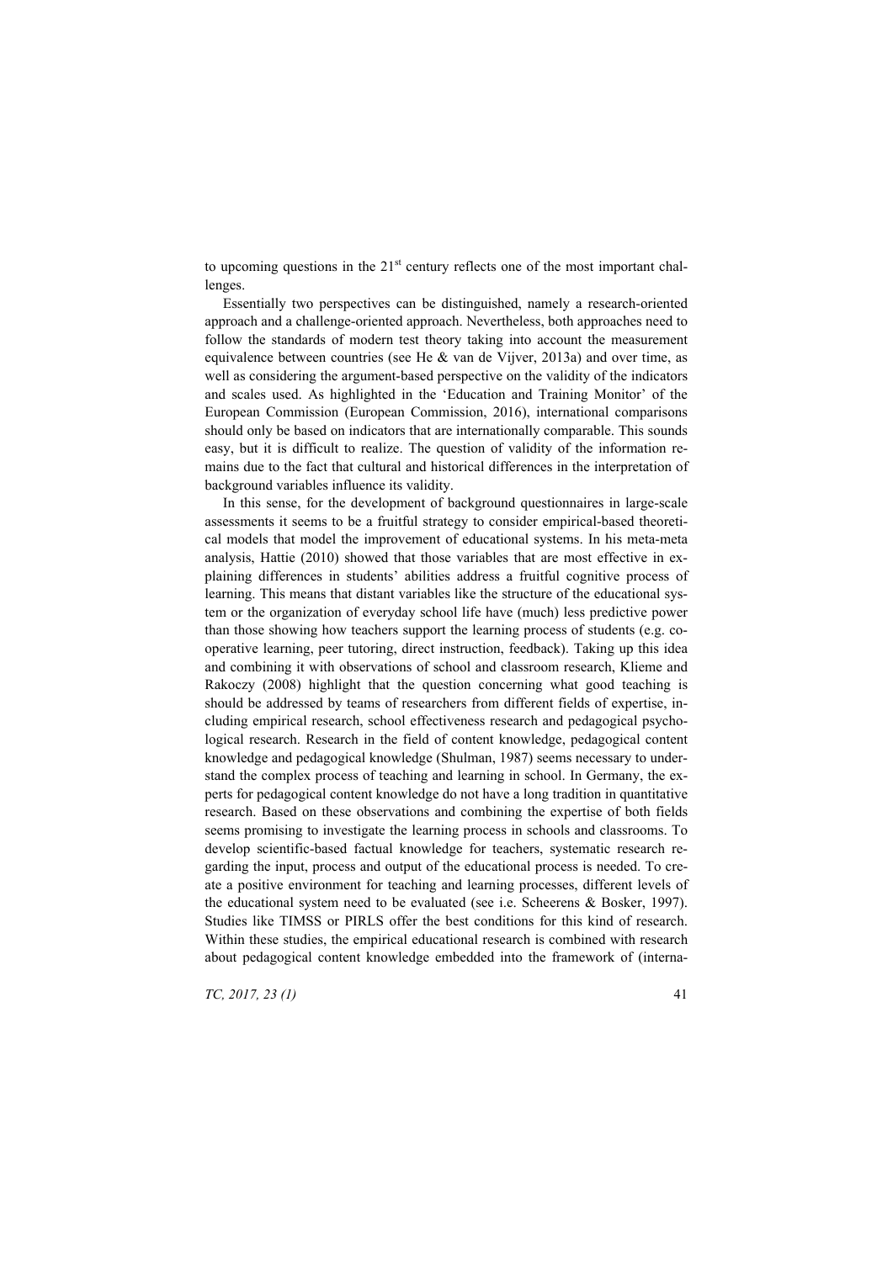to upcoming questions in the  $21<sup>st</sup>$  century reflects one of the most important challenges.

Essentially two perspectives can be distinguished, namely a research-oriented approach and a challenge-oriented approach. Nevertheless, both approaches need to follow the standards of modern test theory taking into account the measurement equivalence between countries (see He  $&$  van de Vijver, 2013a) and over time, as well as considering the argument-based perspective on the validity of the indicators and scales used. As highlighted in the 'Education and Training Monitor' of the European Commission (European Commission, 2016), international comparisons should only be based on indicators that are internationally comparable. This sounds easy, but it is difficult to realize. The question of validity of the information remains due to the fact that cultural and historical differences in the interpretation of background variables influence its validity.

In this sense, for the development of background questionnaires in large-scale assessments it seems to be a fruitful strategy to consider empirical-based theoretical models that model the improvement of educational systems. In his meta-meta analysis, Hattie (2010) showed that those variables that are most effective in explaining differences in students' abilities address a fruitful cognitive process of learning. This means that distant variables like the structure of the educational system or the organization of everyday school life have (much) less predictive power than those showing how teachers support the learning process of students (e.g. cooperative learning, peer tutoring, direct instruction, feedback). Taking up this idea and combining it with observations of school and classroom research, Klieme and Rakoczy (2008) highlight that the question concerning what good teaching is should be addressed by teams of researchers from different fields of expertise, including empirical research, school effectiveness research and pedagogical psychological research. Research in the field of content knowledge, pedagogical content knowledge and pedagogical knowledge (Shulman, 1987) seems necessary to understand the complex process of teaching and learning in school. In Germany, the experts for pedagogical content knowledge do not have a long tradition in quantitative research. Based on these observations and combining the expertise of both fields seems promising to investigate the learning process in schools and classrooms. To develop scientific-based factual knowledge for teachers, systematic research regarding the input, process and output of the educational process is needed. To create a positive environment for teaching and learning processes, different levels of the educational system need to be evaluated (see i.e. Scheerens & Bosker, 1997). Studies like TIMSS or PIRLS offer the best conditions for this kind of research. Within these studies, the empirical educational research is combined with research about pedagogical content knowledge embedded into the framework of (interna-

*TC, 2017, 23 (1)* 41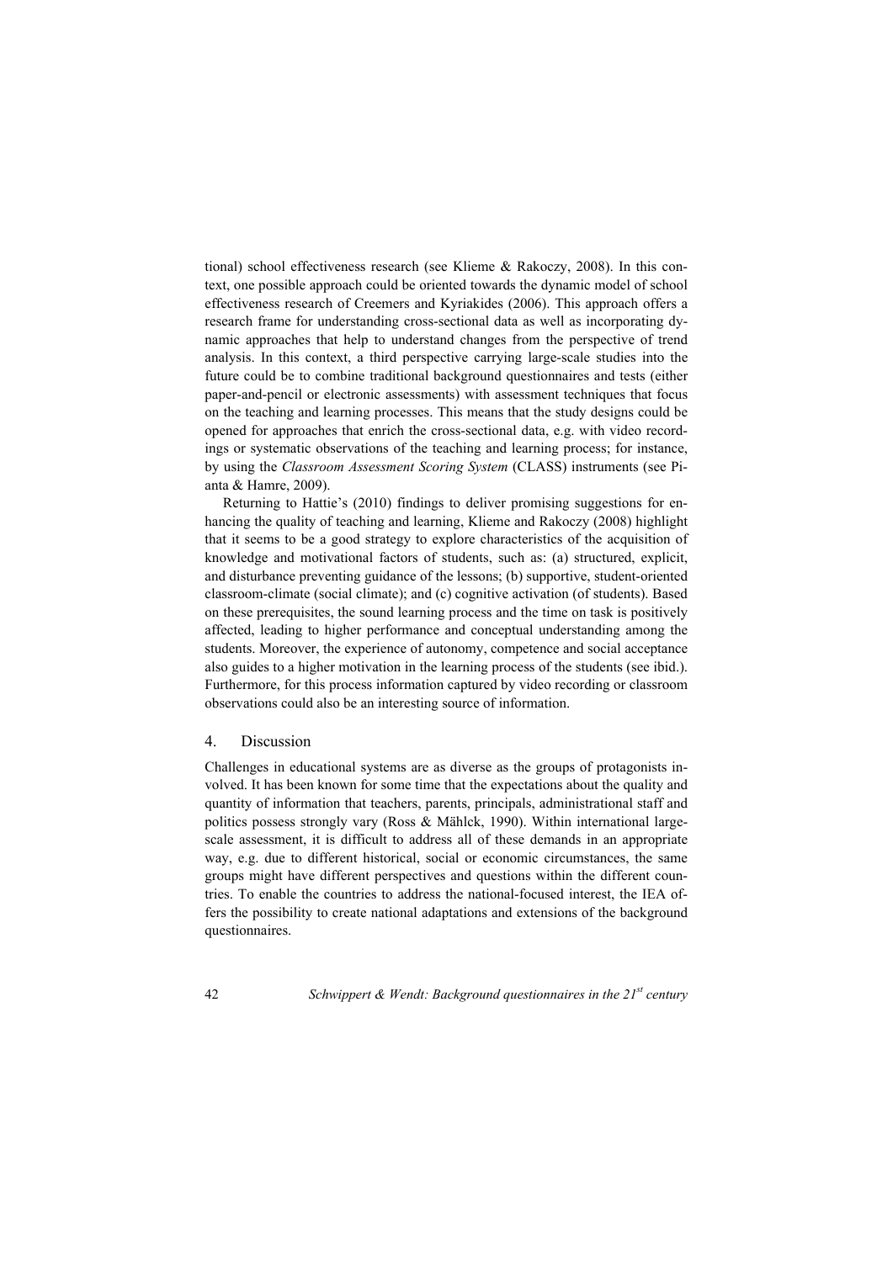tional) school effectiveness research (see Klieme & Rakoczy, 2008). In this context, one possible approach could be oriented towards the dynamic model of school effectiveness research of Creemers and Kyriakides (2006). This approach offers a research frame for understanding cross-sectional data as well as incorporating dynamic approaches that help to understand changes from the perspective of trend analysis. In this context, a third perspective carrying large-scale studies into the future could be to combine traditional background questionnaires and tests (either paper-and-pencil or electronic assessments) with assessment techniques that focus on the teaching and learning processes. This means that the study designs could be opened for approaches that enrich the cross-sectional data, e.g. with video recordings or systematic observations of the teaching and learning process; for instance, by using the *Classroom Assessment Scoring System* (CLASS) instruments (see Pianta & Hamre, 2009).

Returning to Hattie's (2010) findings to deliver promising suggestions for enhancing the quality of teaching and learning, Klieme and Rakoczy (2008) highlight that it seems to be a good strategy to explore characteristics of the acquisition of knowledge and motivational factors of students, such as: (a) structured, explicit, and disturbance preventing guidance of the lessons; (b) supportive, student-oriented classroom-climate (social climate); and (c) cognitive activation (of students). Based on these prerequisites, the sound learning process and the time on task is positively affected, leading to higher performance and conceptual understanding among the students. Moreover, the experience of autonomy, competence and social acceptance also guides to a higher motivation in the learning process of the students (see ibid.). Furthermore, for this process information captured by video recording or classroom observations could also be an interesting source of information.

## 4. Discussion

Challenges in educational systems are as diverse as the groups of protagonists involved. It has been known for some time that the expectations about the quality and quantity of information that teachers, parents, principals, administrational staff and politics possess strongly vary (Ross & Mählck, 1990). Within international largescale assessment, it is difficult to address all of these demands in an appropriate way, e.g. due to different historical, social or economic circumstances, the same groups might have different perspectives and questions within the different countries. To enable the countries to address the national-focused interest, the IEA offers the possibility to create national adaptations and extensions of the background questionnaires.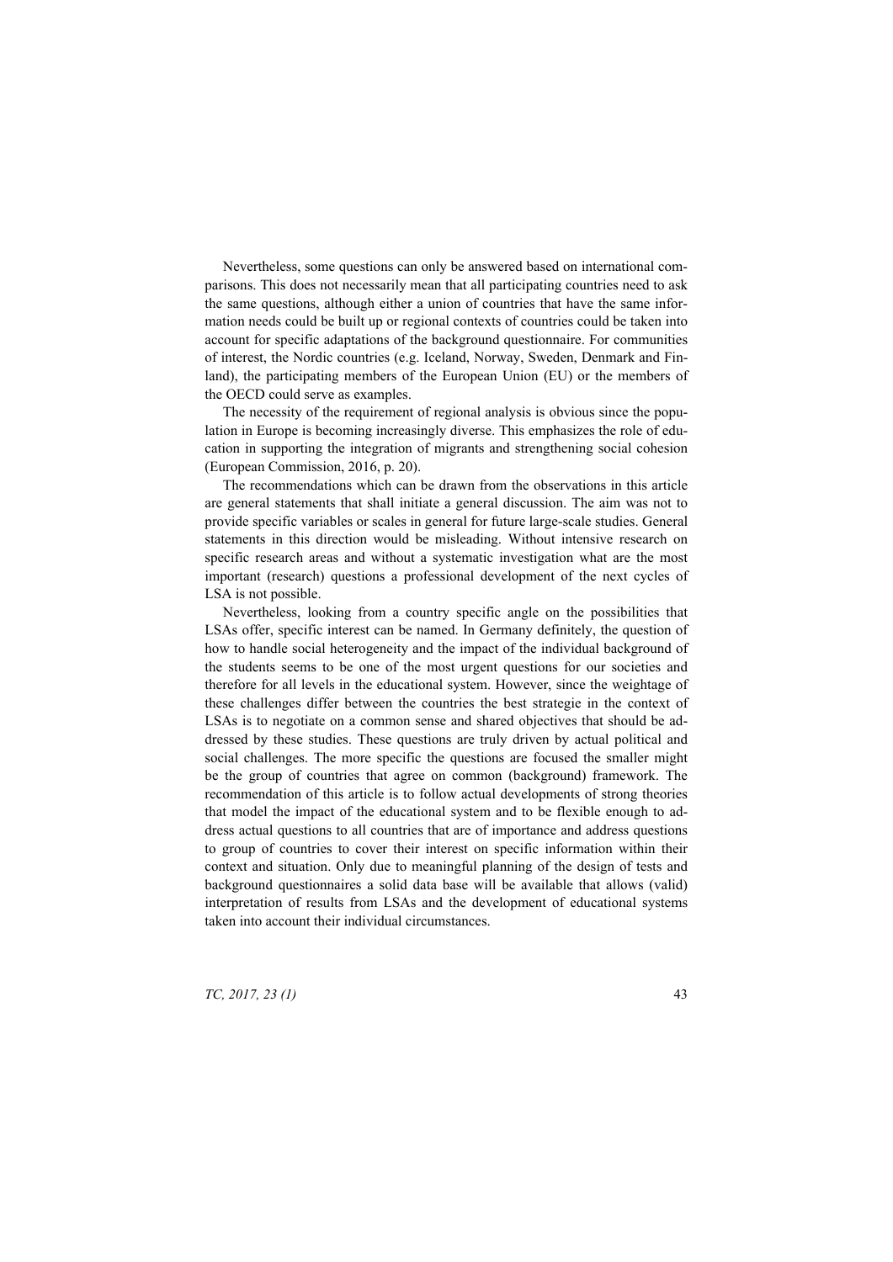Nevertheless, some questions can only be answered based on international comparisons. This does not necessarily mean that all participating countries need to ask the same questions, although either a union of countries that have the same information needs could be built up or regional contexts of countries could be taken into account for specific adaptations of the background questionnaire. For communities of interest, the Nordic countries (e.g. Iceland, Norway, Sweden, Denmark and Finland), the participating members of the European Union (EU) or the members of the OECD could serve as examples.

The necessity of the requirement of regional analysis is obvious since the population in Europe is becoming increasingly diverse. This emphasizes the role of education in supporting the integration of migrants and strengthening social cohesion (European Commission, 2016, p. 20).

The recommendations which can be drawn from the observations in this article are general statements that shall initiate a general discussion. The aim was not to provide specific variables or scales in general for future large-scale studies. General statements in this direction would be misleading. Without intensive research on specific research areas and without a systematic investigation what are the most important (research) questions a professional development of the next cycles of LSA is not possible.

Nevertheless, looking from a country specific angle on the possibilities that LSAs offer, specific interest can be named. In Germany definitely, the question of how to handle social heterogeneity and the impact of the individual background of the students seems to be one of the most urgent questions for our societies and therefore for all levels in the educational system. However, since the weightage of these challenges differ between the countries the best strategie in the context of LSAs is to negotiate on a common sense and shared objectives that should be addressed by these studies. These questions are truly driven by actual political and social challenges. The more specific the questions are focused the smaller might be the group of countries that agree on common (background) framework. The recommendation of this article is to follow actual developments of strong theories that model the impact of the educational system and to be flexible enough to address actual questions to all countries that are of importance and address questions to group of countries to cover their interest on specific information within their context and situation. Only due to meaningful planning of the design of tests and background questionnaires a solid data base will be available that allows (valid) interpretation of results from LSAs and the development of educational systems taken into account their individual circumstances.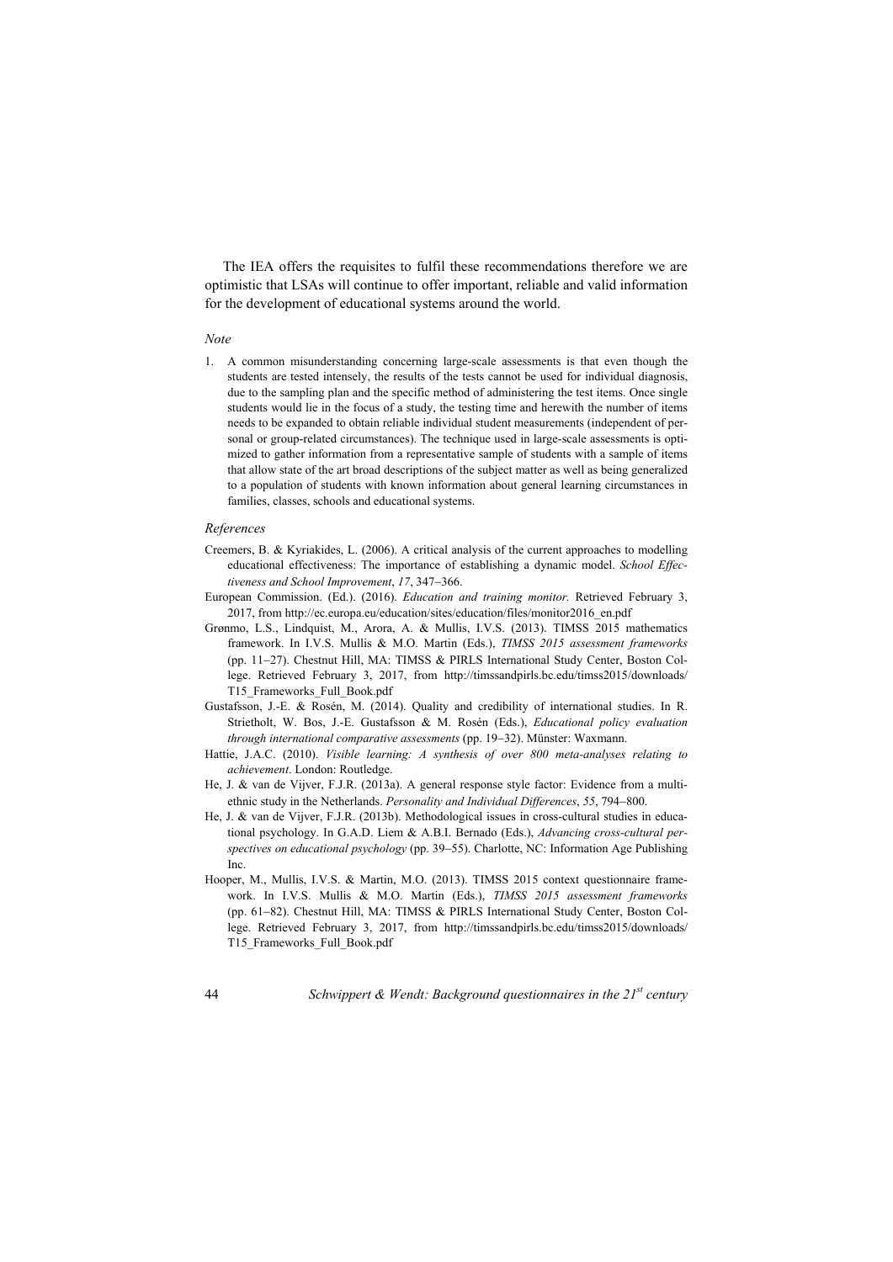The IEA offers the requisites to fulfil these recommendations therefore we are optimistic that LSAs will continue to offer important, reliable and valid information for the development of educational systems around the world.

#### *Note*

1. A common misunderstanding concerning large-scale assessments is that even though the students are tested intensely, the results of the tests cannot be used for individual diagnosis, due to the sampling plan and the specific method of administering the test items. Once single students would lie in the focus of a study, the testing time and herewith the number of items needs to be expanded to obtain reliable individual student measurements (independent of personal or group-related circumstances). The technique used in large-scale assessments is optimized to gather information from a representative sample of students with a sample of items that allow state of the art broad descriptions of the subject matter as well as being generalized to a population of students with known information about general learning circumstances in families, classes, schools and educational systems.

#### *References*

- Creemers, B. & Kyriakides, L. (2006). A critical analysis of the current approaches to modelling educational effectiveness: The importance of establishing a dynamic model. *School Effectiveness and School Improvement*, 17, 347-366.
- European Commission. (Ed.). (2016). *Education and training monitor.* Retrieved February 3, 2017, from http://ec.europa.eu/education/sites/education/files/monitor2016\_en.pdf
- Grønmo, L.S., Lindquist, M., Arora, A. & Mullis, I.V.S. (2013). TIMSS 2015 mathematics framework. In I.V.S. Mullis & M.O. Martin (Eds.), *TIMSS 2015 assessment frameworks* (pp. 1127). Chestnut Hill, MA: TIMSS & PIRLS International Study Center, Boston College. Retrieved February 3, 2017, from http://timssandpirls.bc.edu/timss2015/downloads/ T15\_Frameworks\_Full\_Book.pdf
- Gustafsson, J.-E. & Rosén, M. (2014). Quality and credibility of international studies. In R. Strietholt, W. Bos, J.-E. Gustafsson & M. Rosén (Eds.), *Educational policy evaluation through international comparative assessments* (pp. 19–32). Münster: Waxmann.
- Hattie, J.A.C. (2010). *Visible learning: A synthesis of over 800 meta-analyses relating to achievement*. London: Routledge.
- He, J. & van de Vijver, F.J.R. (2013a). A general response style factor: Evidence from a multiethnic study in the Netherlands. *Personality and Individual Differences*, 55, 794–800.
- He, J. & van de Vijver, F.J.R. (2013b). Methodological issues in cross-cultural studies in educational psychology. In G.A.D. Liem & A.B.I. Bernado (Eds.), *Advancing cross-cultural per*spectives on educational psychology (pp. 39–55). Charlotte, NC: Information Age Publishing Inc.
- Hooper, M., Mullis, I.V.S. & Martin, M.O. (2013). TIMSS 2015 context questionnaire framework. In I.V.S. Mullis & M.O. Martin (Eds.), *TIMSS 2015 assessment frameworks* (pp. 61-82). Chestnut Hill, MA: TIMSS & PIRLS International Study Center, Boston College. Retrieved February 3, 2017, from http://timssandpirls.bc.edu/timss2015/downloads/ T15\_Frameworks\_Full\_Book.pdf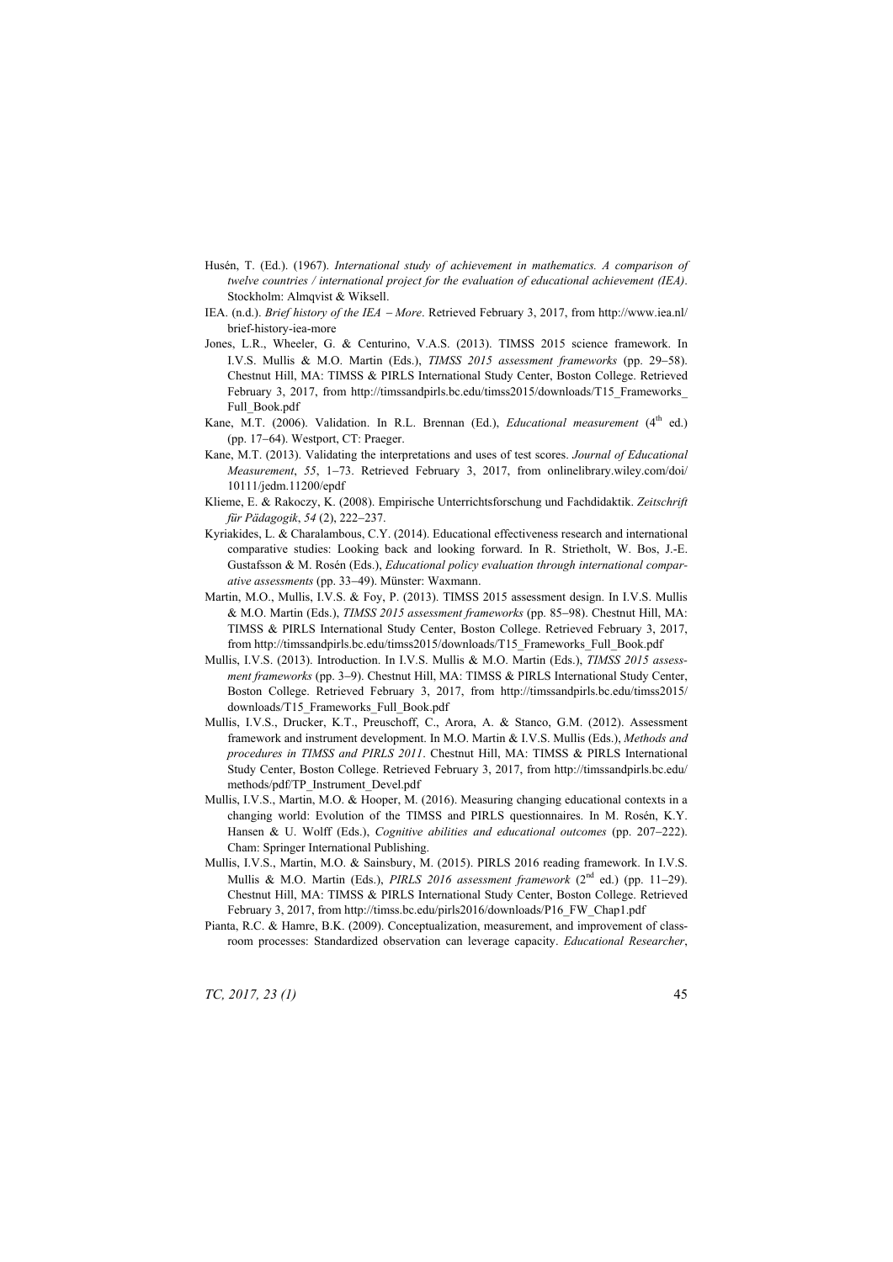- Husén, T. (Ed.). (1967). *International study of achievement in mathematics. A comparison of twelve countries / international project for the evaluation of educational achievement (IEA)*. Stockholm: Almqvist & Wiksell.
- IEA. (n.d.). *Brief history of the IEA More*. Retrieved February 3, 2017, from http://www.iea.nl/ brief-history-iea-more
- Jones, L.R., Wheeler, G. & Centurino, V.A.S. (2013). TIMSS 2015 science framework. In I.V.S. Mullis & M.O. Martin (Eds.), *TIMSS 2015 assessment frameworks* (pp. 29–58). Chestnut Hill, MA: TIMSS & PIRLS International Study Center, Boston College. Retrieved February 3, 2017, from http://timssandpirls.bc.edu/timss2015/downloads/T15\_Frameworks\_ Full\_Book.pdf
- Kane, M.T. (2006). Validation. In R.L. Brennan (Ed.), *Educational measurement* (4<sup>th</sup> ed.) (pp. 17–64). Westport, CT: Praeger.
- Kane, M.T. (2013). Validating the interpretations and uses of test scores. *Journal of Educational Measurement*, 55, 1-73. Retrieved February 3, 2017, from onlinelibrary.wiley.com/doi/ 10111/jedm.11200/epdf
- Klieme, E. & Rakoczy, K. (2008). Empirische Unterrichtsforschung und Fachdidaktik. *Zeitschrift für Pädagogik*, 54 (2), 222-237.
- Kyriakides, L. & Charalambous, C.Y. (2014). Educational effectiveness research and international comparative studies: Looking back and looking forward. In R. Strietholt, W. Bos, J.-E. Gustafsson & M. Rosén (Eds.), *Educational policy evaluation through international comparative assessments* (pp. 3349). Münster: Waxmann.
- Martin, M.O., Mullis, I.V.S. & Foy, P. (2013). TIMSS 2015 assessment design. In I.V.S. Mullis & M.O. Martin (Eds.), *TIMSS 2015 assessment frameworks* (pp. 8598). Chestnut Hill, MA: TIMSS & PIRLS International Study Center, Boston College. Retrieved February 3, 2017, from http://timssandpirls.bc.edu/timss2015/downloads/T15\_Frameworks\_Full\_Book.pdf
- Mullis, I.V.S. (2013). Introduction. In I.V.S. Mullis & M.O. Martin (Eds.), *TIMSS 2015 assessment frameworks* (pp. 3–9). Chestnut Hill, MA: TIMSS & PIRLS International Study Center, Boston College. Retrieved February 3, 2017, from http://timssandpirls.bc.edu/timss2015/ downloads/T15\_Frameworks\_Full\_Book.pdf
- Mullis, I.V.S., Drucker, K.T., Preuschoff, C., Arora, A. & Stanco, G.M. (2012). Assessment framework and instrument development. In M.O. Martin & I.V.S. Mullis (Eds.), *Methods and procedures in TIMSS and PIRLS 2011*. Chestnut Hill, MA: TIMSS & PIRLS International Study Center, Boston College. Retrieved February 3, 2017, from http://timssandpirls.bc.edu/ methods/pdf/TP\_Instrument\_Devel.pdf
- Mullis, I.V.S., Martin, M.O. & Hooper, M. (2016). Measuring changing educational contexts in a changing world: Evolution of the TIMSS and PIRLS questionnaires. In M. Rosén, K.Y. Hansen & U. Wolff (Eds.), *Cognitive abilities and educational outcomes* (pp. 207–222). Cham: Springer International Publishing.
- Mullis, I.V.S., Martin, M.O. & Sainsbury, M. (2015). PIRLS 2016 reading framework. In I.V.S. Mullis & M.O. Martin (Eds.), *PIRLS 2016 assessment framework* (2<sup>nd</sup> ed.) (pp. 11-29). Chestnut Hill, MA: TIMSS & PIRLS International Study Center, Boston College. Retrieved February 3, 2017, from http://timss.bc.edu/pirls2016/downloads/P16\_FW\_Chap1.pdf
- Pianta, R.C. & Hamre, B.K. (2009). Conceptualization, measurement, and improvement of classroom processes: Standardized observation can leverage capacity. *Educational Researcher*,